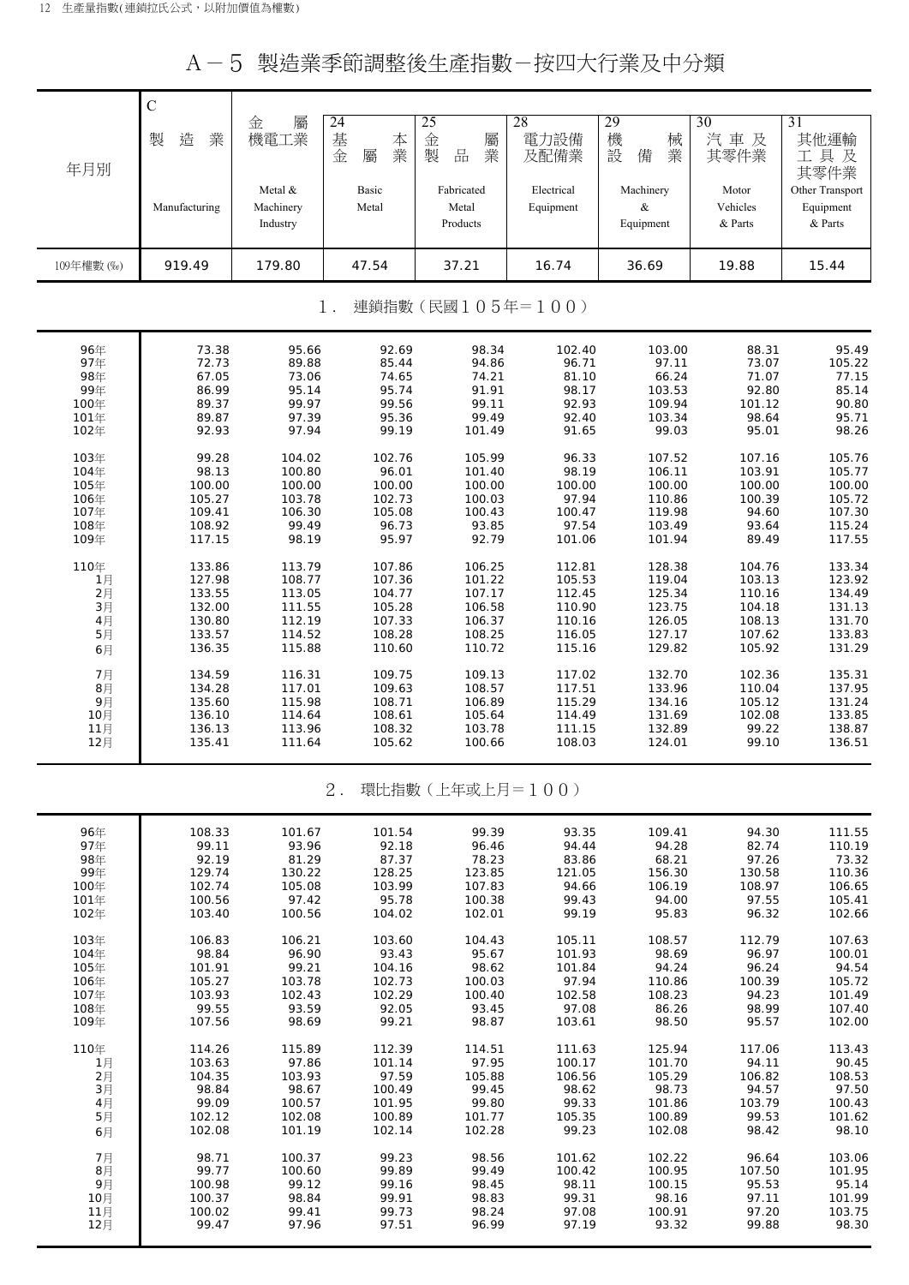A-5 製造業季節調整後生產指數-按四大行業及中分類

|            | $\mathsf{C}$  |                                  |                             |                                 |                         |                             |                              |                                         |
|------------|---------------|----------------------------------|-----------------------------|---------------------------------|-------------------------|-----------------------------|------------------------------|-----------------------------------------|
| 年月別        | 製<br>造<br>業   | 金<br>屬<br>機電工業                   | 24<br>基<br>本<br>業<br>金<br>屬 | 25<br>金<br>屬<br>製<br>品<br>業     | 28<br>電力設備<br>及配備業      | 29<br>機<br>械<br>設<br>業<br>備 | 30<br>汽車及<br>其零件業            | 31<br>其他運輸<br>工具及<br>其零件業               |
|            | Manufacturing | Metal &<br>Machinery<br>Industry | Basic<br>Metal              | Fabricated<br>Metal<br>Products | Electrical<br>Equipment | Machinery<br>&<br>Equipment | Motor<br>Vehicles<br>& Parts | Other Transport<br>Equipment<br>& Parts |
| 109年權數 (‰) | 919.49        | 179.80                           | 47.54                       | 37.21                           | 16.74                   | 36.69                       | 19.88                        | 15.44                                   |
|            |               |                                  | $1$ .                       | 連鎖指數(民國105年=100)                |                         |                             |                              |                                         |
| 96年        | 73.38         | 95.66                            | 92.69                       | 98.34                           | 102.40                  | 103.00                      | 88.31                        | 95.49                                   |
| 97年        | 72.73         | 89.88                            | 85.44                       | 94.86                           | 96.71                   | 97.11                       | 73.07                        | 105.22                                  |
| 98年        | 67.05         | 73.06                            | 74.65                       | 74.21                           | 81.10                   | 66.24                       | 71.07                        | 77.15                                   |
| 99年        | 86.99         | 95.14                            | 95.74                       | 91.91                           | 98.17                   | 103.53                      | 92.80                        | 85.14                                   |
| 100年       | 89.37         | 99.97                            | 99.56                       | 99.11                           | 92.93                   | 109.94                      | 101.12                       | 90.80                                   |
| 101年       | 89.87         | 97.39                            | 95.36                       | 99.49                           | 92.40                   | 103.34                      | 98.64                        | 95.71                                   |
| 102年       | 92.93         | 97.94                            | 99.19                       | 101.49                          | 91.65                   | 99.03                       | 95.01                        | 98.26                                   |
| 103年       | 99.28         | 104.02                           | 102.76                      | 105.99                          | 96.33                   | 107.52                      | 107.16                       | 105.76                                  |
| 104年       | 98.13         | 100.80                           | 96.01                       | 101.40                          | 98.19                   | 106.11                      | 103.91                       | 105.77                                  |
| 105年       | 100.00        | 100.00                           | 100.00                      | 100.00                          | 100.00                  | 100.00                      | 100.00                       | 100.00                                  |
| 106年       | 105.27        | 103.78                           | 102.73                      | 100.03                          | 97.94                   | 110.86                      | 100.39                       | 105.72                                  |
| 107年       | 109.41        | 106.30                           | 105.08                      | 100.43                          | 100.47                  | 119.98                      | 94.60                        | 107.30                                  |
| 108年       | 108.92        | 99.49                            | 96.73                       | 93.85                           | 97.54                   | 103.49                      | 93.64                        | 115.24                                  |
| 109年       | 117.15        | 98.19                            | 95.97                       | 92.79                           | 101.06                  | 101.94                      | 89.49                        | 117.55                                  |
| 110年       | 133.86        | 113.79                           | 107.86                      | 106.25                          | 112.81                  | 128.38                      | 104.76                       | 133.34                                  |
| 1月         | 127.98        | 108.77                           | 107.36                      | 101.22                          | 105.53                  | 119.04                      | 103.13                       | 123.92                                  |
| 2月         | 133.55        | 113.05                           | 104.77                      | 107.17                          | 112.45                  | 125.34                      | 110.16                       | 134.49                                  |
| 3月         | 132.00        | 111.55                           | 105.28                      | 106.58                          | 110.90                  | 123.75                      | 104.18                       | 131.13                                  |
| 4月         | 130.80        | 112.19                           | 107.33                      | 106.37                          | 110.16                  | 126.05                      | 108.13                       | 131.70                                  |
| 5月         | 133.57        | 114.52                           | 108.28                      | 108.25                          | 116.05                  | 127.17                      | 107.62                       | 133.83                                  |
| 6月         | 136.35        | 115.88                           | 110.60                      | 110.72                          | 115.16                  | 129.82                      | 105.92                       | 131.29                                  |
| 7月         | 134.59        | 116.31                           | 109.75                      | 109.13                          | 117.02                  | 132.70                      | 102.36                       | 135.31                                  |
| 8月         | 134.28        | 117.01                           | 109.63                      | 108.57                          | 117.51                  | 133.96                      | 110.04                       | 137.95                                  |
| 9月         | 135.60        | 115.98                           | 108.71                      | 106.89                          | 115.29                  | 134.16                      | 105.12                       | 131.24                                  |
| 10月        | 136.10        | 114.64                           | 108.61                      | 105.64                          | 114.49                  | 131.69                      | 102.08                       | 133.85                                  |
| 11月        | 136.13        | 113.96                           | 108.32                      | 103.78                          | 111.15                  | 132.89                      | 99.22                        | 138.87                                  |
| 12月        | 135.41        | 111.64                           | 105.62                      | 100.66                          | 108.03                  | 124.01                      | 99.10                        | 136.51                                  |
|            |               |                                  | $2$ .                       | 環比指數(上年或上月=100)                 |                         |                             |                              |                                         |
| 96年        | 108.33        | 101.67                           | 101.54                      | 99.39                           | 93.35                   | 109.41                      | 94.30                        | 111.55                                  |
| 97年        | 99.11         | 93.96                            | 92.18                       | 96.46                           | 94.44                   | 94.28                       | 82.74                        | 110.19                                  |
| 98年        | 92.19         | 81.29                            | 87.37                       | 78.23                           | 83.86                   | 68.21                       | 97.26                        | 73.32                                   |
| 99年        | 129.74        | 130.22                           | 128.25                      | 123.85                          | 121.05                  | 156.30                      | 130.58                       | 110.36                                  |
| 100年       | 102.74        | 105.08                           | 103.99                      | 107.83                          | 94.66                   | 106.19                      | 108.97                       | 106.65                                  |
| 101年       | 100.56        | 97.42                            | 95.78                       | 100.38                          | 99.43                   | 94.00                       | 97.55                        | 105.41                                  |
| 102年       | 103.40        | 100.56                           | 104.02                      | 102.01                          | 99.19                   | 95.83                       | 96.32                        | 102.66                                  |
| 103年       | 106.83        | 106.21                           | 103.60                      | 104.43                          | 105.11                  | 108.57                      | 112.79                       | 107.63                                  |
| 104年       | 98.84         | 96.90                            | 93.43                       | 95.67                           | 101.93                  | 98.69                       | 96.97                        | 100.01                                  |
| 105年       | 101.91        | 99.21                            | 104.16                      | 98.62                           | 101.84                  | 94.24                       | 96.24                        | 94.54                                   |
| 106年       | 105.27        | 103.78                           | 102.73                      | 100.03                          | 97.94                   | 110.86                      | 100.39                       | 105.72                                  |
| 107年       | 103.93        | 102.43                           | 102.29                      | 100.40                          | 102.58                  | 108.23                      | 94.23                        | 101.49                                  |
| 108年       | 99.55         | 93.59                            | 92.05                       | 93.45                           | 97.08                   | 86.26                       | 98.99                        | 107.40                                  |
| 109年       | 107.56        | 98.69                            | 99.21                       | 98.87                           | 103.61                  | 98.50                       | 95.57                        | 102.00                                  |
| 110年       | 114.26        | 115.89                           | 112.39                      | 114.51                          | 111.63                  | 125.94                      | 117.06                       | 113.43                                  |
| 1月         | 103.63        | 97.86                            | 101.14                      | 97.95                           | 100.17                  | 101.70                      | 94.11                        | 90.45                                   |
| 2月         | 104.35        | 103.93                           | 97.59                       | 105.88                          | 106.56                  | 105.29                      | 106.82                       | 108.53                                  |
| 3月         | 98.84         | 98.67                            | 100.49                      | 99.45                           | 98.62                   | 98.73                       | 94.57                        | 97.50                                   |
| 4月         | 99.09         | 100.57                           | 101.95                      | 99.80                           | 99.33                   | 101.86                      | 103.79                       | 100.43                                  |
| 5月         | 102.12        | 102.08                           | 100.89                      | 101.77                          | 105.35                  | 100.89                      | 99.53                        | 101.62                                  |
| 6月         | 102.08        | 101.19                           | 102.14                      | 102.28                          | 99.23                   | 102.08                      | 98.42                        | 98.10                                   |
| 7月         | 98.71         | 100.37                           | 99.23                       | 98.56                           | 101.62                  | 102.22                      | 96.64                        | 103.06                                  |
| 8月         | 99.77         | 100.60                           | 99.89                       | 99.49                           | 100.42                  | 100.95                      | 107.50                       | 101.95                                  |
| 9月         | 100.98        | 99.12                            | 99.16                       | 98.45                           | 98.11                   | 100.15                      | 95.53                        | 95.14                                   |
| 10月        | 100.37        | 98.84                            | 99.91                       | 98.83                           | 99.31                   | 98.16                       | 97.11                        | 101.99                                  |
| 11月        | 100.02        | 99.41                            | 99.73                       | 98.24                           | 97.08                   | 100.91                      | 97.20                        | 103.75                                  |
| 12月        | 99.47         | 97.96                            | 97.51                       | 96.99                           | 97.19                   | 93.32                       | 99.88                        | 98.30                                   |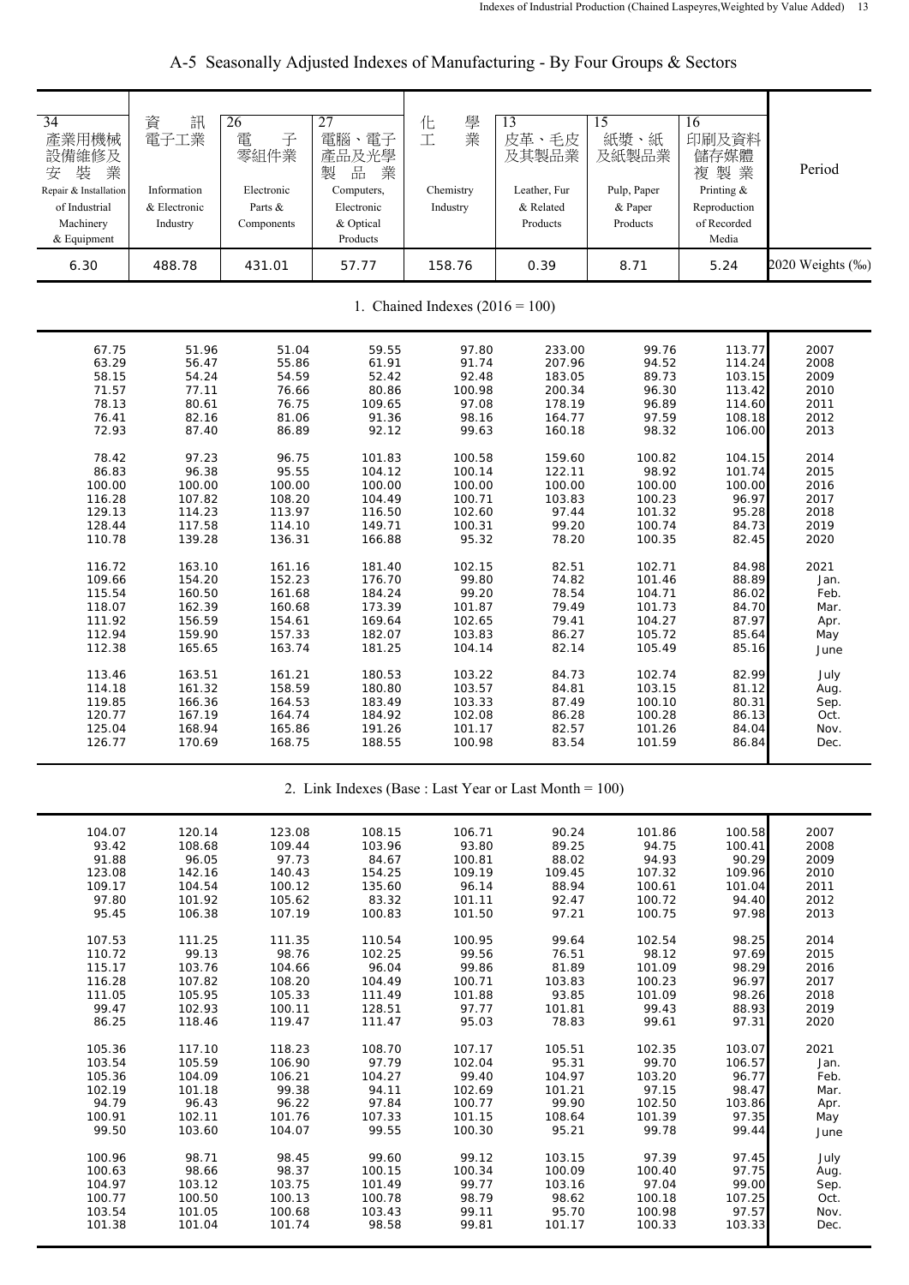| 34<br>產業用機械<br>設備維修及<br>業<br>装<br>安<br>Repair & Installation<br>of Industrial<br>Machinery<br>& Equipment<br>6.30 | 資<br>訊<br>電子工業<br>Information<br>& Electronic<br>Industry<br>488.78 | 26<br>電<br>子<br>零組件業<br>Electronic<br>Parts &<br>Components<br>431.01 | 27<br>電腦、電子<br>產品及光學<br>$\frac{\Box}{\Box \Box}$<br>業<br>製<br>Computers,<br>Electronic<br>& Optical<br>Products<br>57.77 | 學<br>化<br>業<br>工<br>Chemistry<br>Industry<br>158.76 | 13<br>皮革、毛皮<br>及其製品業<br>Leather, Fur<br>& Related<br>Products<br>0.39 | 15<br>紙漿、紙<br>及紙製品業<br>Pulp, Paper<br>& Paper<br>Products<br>8.71 | 16<br>印刷及資料<br>儲存媒體<br>複製業<br>Printing &<br>Reproduction<br>of Recorded<br>Media<br>5.24 | Period<br>2020 Weights (%) |  |  |
|-------------------------------------------------------------------------------------------------------------------|---------------------------------------------------------------------|-----------------------------------------------------------------------|--------------------------------------------------------------------------------------------------------------------------|-----------------------------------------------------|-----------------------------------------------------------------------|-------------------------------------------------------------------|------------------------------------------------------------------------------------------|----------------------------|--|--|
|                                                                                                                   | 1. Chained Indexes $(2016 = 100)$                                   |                                                                       |                                                                                                                          |                                                     |                                                                       |                                                                   |                                                                                          |                            |  |  |
| 67.75                                                                                                             | 51.96                                                               | 51.04                                                                 | 59.55                                                                                                                    | 97.80                                               | 233.00                                                                | 99.76                                                             | 113.77                                                                                   | 2007                       |  |  |
| 63.29                                                                                                             | 56.47                                                               | 55.86                                                                 | 61.91                                                                                                                    | 91.74                                               | 207.96                                                                | 94.52                                                             | 114.24                                                                                   | 2008                       |  |  |
| 58.15                                                                                                             | 54.24                                                               | 54.59                                                                 | 52.42                                                                                                                    | 92.48                                               | 183.05                                                                | 89.73                                                             | 103.15                                                                                   | 2009                       |  |  |
| 71.57                                                                                                             | 77.11                                                               | 76.66                                                                 | 80.86                                                                                                                    | 100.98                                              | 200.34                                                                | 96.30                                                             | 113.42                                                                                   | 2010                       |  |  |
| 78.13                                                                                                             | 80.61                                                               | 76.75                                                                 | 109.65                                                                                                                   | 97.08                                               | 178.19                                                                | 96.89                                                             | 114.60                                                                                   | 2011                       |  |  |
| 76.41                                                                                                             | 82.16                                                               | 81.06                                                                 | 91.36                                                                                                                    | 98.16                                               | 164.77                                                                | 97.59                                                             | 108.18                                                                                   | 2012                       |  |  |
| 72.93                                                                                                             | 87.40                                                               | 86.89                                                                 | 92.12                                                                                                                    | 99.63                                               | 160.18                                                                | 98.32                                                             | 106.00                                                                                   | 2013                       |  |  |
| 78.42                                                                                                             | 97.23                                                               | 96.75                                                                 | 101.83                                                                                                                   | 100.58                                              | 159.60                                                                | 100.82                                                            | 104.15                                                                                   | 2014                       |  |  |
| 86.83                                                                                                             | 96.38                                                               | 95.55                                                                 | 104.12                                                                                                                   | 100.14                                              | 122.11                                                                | 98.92                                                             | 101.74                                                                                   | 2015                       |  |  |
| 100.00                                                                                                            | 100.00                                                              | 100.00                                                                | 100.00                                                                                                                   | 100.00                                              | 100.00                                                                | 100.00                                                            | 100.00                                                                                   | 2016                       |  |  |
| 116.28                                                                                                            | 107.82                                                              | 108.20                                                                | 104.49                                                                                                                   | 100.71                                              | 103.83                                                                | 100.23                                                            | 96.97                                                                                    | 2017                       |  |  |
| 129.13                                                                                                            | 114.23                                                              | 113.97                                                                | 116.50                                                                                                                   | 102.60                                              | 97.44                                                                 | 101.32                                                            | 95.28                                                                                    | 2018                       |  |  |
| 128.44                                                                                                            | 117.58                                                              | 114.10                                                                | 149.71                                                                                                                   | 100.31                                              | 99.20                                                                 | 100.74                                                            | 84.73                                                                                    | 2019                       |  |  |
| 110.78                                                                                                            | 139.28                                                              | 136.31                                                                | 166.88                                                                                                                   | 95.32                                               | 78.20                                                                 | 100.35                                                            | 82.45                                                                                    | 2020                       |  |  |
| 116.72                                                                                                            | 163.10                                                              | 161.16                                                                | 181.40                                                                                                                   | 102.15                                              | 82.51                                                                 | 102.71                                                            | 84.98                                                                                    | 2021                       |  |  |
| 109.66                                                                                                            | 154.20                                                              | 152.23                                                                | 176.70                                                                                                                   | 99.80                                               | 74.82                                                                 | 101.46                                                            | 88.89                                                                                    | Jan.                       |  |  |
| 115.54                                                                                                            | 160.50                                                              | 161.68                                                                | 184.24                                                                                                                   | 99.20                                               | 78.54                                                                 | 104.71                                                            | 86.02                                                                                    | Feb.                       |  |  |
| 118.07                                                                                                            | 162.39                                                              | 160.68                                                                | 173.39                                                                                                                   | 101.87                                              | 79.49                                                                 | 101.73                                                            | 84.70                                                                                    | Mar.                       |  |  |
| 111.92                                                                                                            | 156.59                                                              | 154.61                                                                | 169.64                                                                                                                   | 102.65                                              | 79.41                                                                 | 104.27                                                            | 87.97                                                                                    | Apr.                       |  |  |
| 112.94                                                                                                            | 159.90                                                              | 157.33                                                                | 182.07                                                                                                                   | 103.83                                              | 86.27                                                                 | 105.72                                                            | 85.64                                                                                    | May                        |  |  |
| 112.38                                                                                                            | 165.65                                                              | 163.74                                                                | 181.25                                                                                                                   | 104.14                                              | 82.14                                                                 | 105.49                                                            | 85.16                                                                                    | June                       |  |  |
| 113.46                                                                                                            | 163.51                                                              | 161.21                                                                | 180.53                                                                                                                   | 103.22                                              | 84.73                                                                 | 102.74                                                            | 82.99                                                                                    | July                       |  |  |
| 114.18                                                                                                            | 161.32                                                              | 158.59                                                                | 180.80                                                                                                                   | 103.57                                              | 84.81                                                                 | 103.15                                                            | 81.12                                                                                    | Aug.                       |  |  |
| 119.85                                                                                                            | 166.36                                                              | 164.53                                                                | 183.49                                                                                                                   | 103.33                                              | 87.49                                                                 | 100.10                                                            | 80.31                                                                                    | Sep.                       |  |  |
| 120.77                                                                                                            | 167.19                                                              | 164.74                                                                | 184.92                                                                                                                   | 102.08                                              | 86.28                                                                 | 100.28                                                            | 86.13                                                                                    | Oct.                       |  |  |
| 125.04                                                                                                            | 168.94                                                              | 165.86                                                                | 191.26                                                                                                                   | 101.17                                              | 82.57                                                                 | 101.26                                                            | 84.04                                                                                    | Nov.                       |  |  |
| 126.77                                                                                                            | 170.69                                                              | 168.75                                                                | 188.55                                                                                                                   | 100.98                                              | 83.54                                                                 | 101.59                                                            | 86.84                                                                                    | Dec.                       |  |  |

A-5 Seasonally Adjusted Indexes of Manufacturing - By Four Groups & Sectors

2. Link Indexes (Base : Last Year or Last Month = 100)

| 104.07 | 120.14 | 123.08 | 108.15 | 106.71 | 90.24  | 101.86 | 100.58 | 2007 |
|--------|--------|--------|--------|--------|--------|--------|--------|------|
| 93.42  | 108.68 | 109.44 | 103.96 | 93.80  | 89.25  | 94.75  | 100.41 | 2008 |
| 91.88  | 96.05  | 97.73  | 84.67  | 100.81 | 88.02  | 94.93  | 90.29  | 2009 |
| 123.08 | 142.16 | 140.43 | 154.25 | 109.19 | 109.45 | 107.32 | 109.96 | 2010 |
| 109.17 | 104.54 | 100.12 | 135.60 | 96.14  | 88.94  | 100.61 | 101.04 | 2011 |
| 97.80  | 101.92 | 105.62 | 83.32  | 101.11 | 92.47  | 100.72 | 94.40  | 2012 |
| 95.45  | 106.38 | 107.19 | 100.83 | 101.50 | 97.21  | 100.75 | 97.98  | 2013 |
|        |        |        |        |        |        |        |        |      |
| 107.53 | 111.25 | 111.35 | 110.54 | 100.95 | 99.64  | 102.54 | 98.25  | 2014 |
| 110.72 | 99.13  | 98.76  | 102.25 | 99.56  | 76.51  | 98.12  | 97.69  | 2015 |
| 115.17 | 103.76 | 104.66 | 96.04  | 99.86  | 81.89  | 101.09 | 98.29  | 2016 |
| 116.28 | 107.82 | 108.20 | 104.49 | 100.71 | 103.83 | 100.23 | 96.97  | 2017 |
| 111.05 | 105.95 | 105.33 | 111.49 | 101.88 | 93.85  | 101.09 | 98.26  | 2018 |
| 99.47  | 102.93 | 100.11 | 128.51 | 97.77  | 101.81 | 99.43  | 88.93  | 2019 |
| 86.25  | 118.46 | 119.47 | 111.47 | 95.03  | 78.83  | 99.61  | 97.31  | 2020 |
|        |        |        |        |        |        |        |        |      |
| 105.36 | 117.10 | 118.23 | 108.70 | 107.17 | 105.51 | 102.35 | 103.07 | 2021 |
| 103.54 | 105.59 | 106.90 | 97.79  | 102.04 | 95.31  | 99.70  | 106.57 | Jan. |
| 105.36 | 104.09 | 106.21 | 104.27 | 99.40  | 104.97 | 103.20 | 96.77  | Feb. |
| 102.19 | 101.18 | 99.38  | 94.11  | 102.69 | 101.21 | 97.15  | 98.47  | Mar. |
| 94.79  | 96.43  | 96.22  | 97.84  | 100.77 | 99.90  | 102.50 | 103.86 | Apr. |
| 100.91 | 102.11 | 101.76 | 107.33 | 101.15 | 108.64 | 101.39 | 97.35  | May  |
| 99.50  | 103.60 | 104.07 | 99.55  | 100.30 | 95.21  | 99.78  | 99.44  | June |
|        |        |        |        |        |        |        |        |      |
| 100.96 | 98.71  | 98.45  | 99.60  | 99.12  | 103.15 | 97.39  | 97.45  | July |
| 100.63 | 98.66  | 98.37  | 100.15 | 100.34 | 100.09 | 100.40 | 97.75  | Aug. |
| 104.97 | 103.12 | 103.75 | 101.49 | 99.77  | 103.16 | 97.04  | 99.00  | Sep. |
| 100.77 | 100.50 | 100.13 | 100.78 | 98.79  | 98.62  | 100.18 | 107.25 | Oct. |
| 103.54 | 101.05 | 100.68 | 103.43 | 99.11  | 95.70  | 100.98 | 97.57  | Nov. |
| 101.38 | 101.04 | 101.74 | 98.58  | 99.81  | 101.17 | 100.33 | 103.33 | Dec. |
|        |        |        |        |        |        |        |        |      |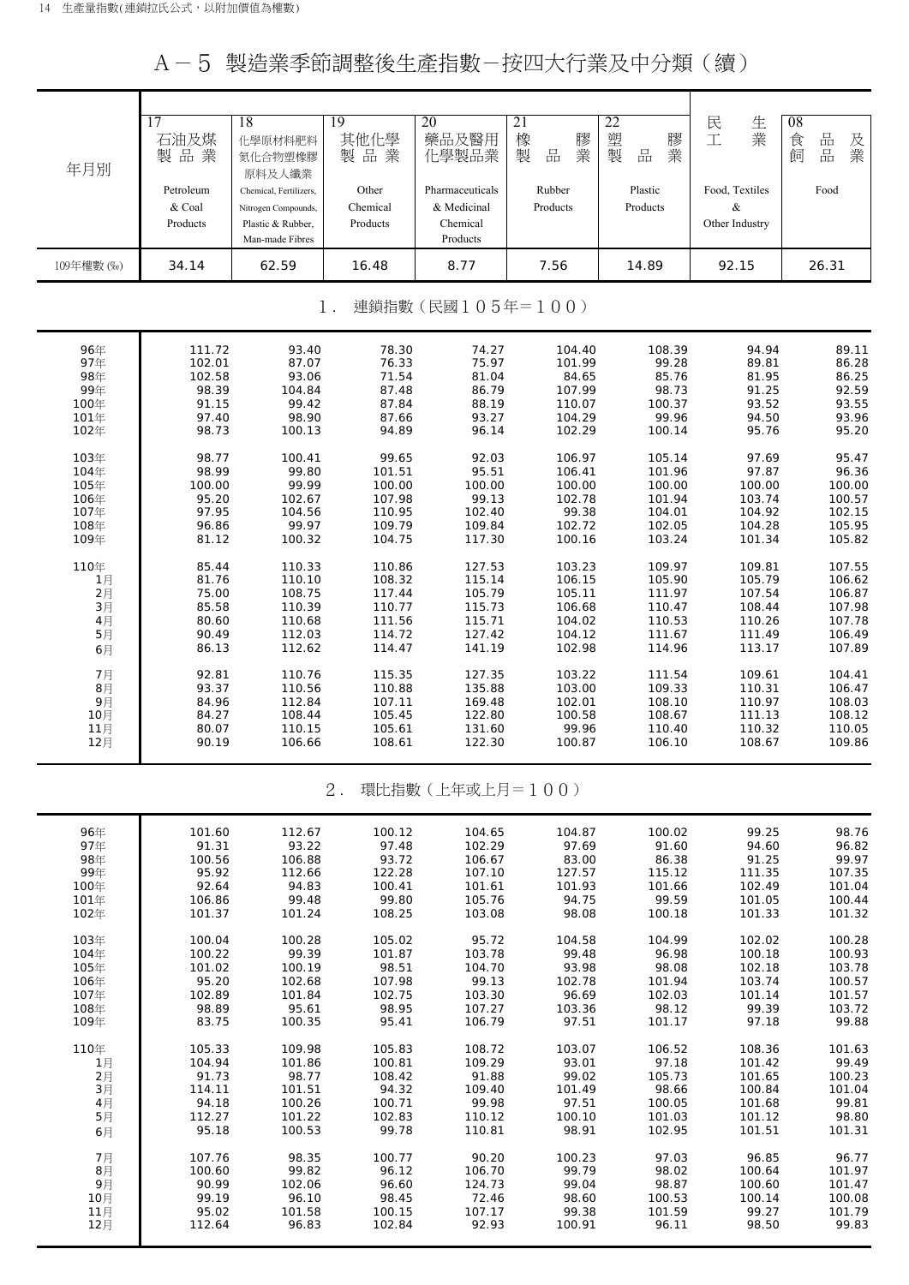A-5 製造業季節調整後生產指數-按四大行業及中分類(續)

| 年月別<br>109年權數 (%) | 17<br>石油及煤<br>製品業<br>Petroleum<br>& Coal<br>Products<br>34.14 | 18<br>化學原材料肥料<br>氮化合物塑橡膠<br>原料及人纖業<br>Chemical, Fertilizers,<br>Nitrogen Compounds,<br>Plastic & Rubber,<br>Man-made Fibres<br>62.59 | 19<br>其他化學<br>製品業<br>Other<br>Chemical<br>Products<br>16.48 | 20<br>藥品及醫用<br>化學製品業<br>Pharmaceuticals<br>& Medicinal<br>Chemical<br>Products<br>8.77 | 21<br>橡<br>膠業<br>製<br>品<br>Rubber<br>Products<br>7.56 | 22<br>塑製<br>膠<br>業<br>$\frac{\Box}{\Box \Box}$<br>Plastic<br>Products<br>14.89 | 民<br>生業<br>工<br>Food, Textiles<br>$\&$<br>Other Industry<br>92.15 | 08<br>品<br>食<br>及業<br>品<br>飼<br>Food<br>26.31 |
|-------------------|---------------------------------------------------------------|--------------------------------------------------------------------------------------------------------------------------------------|-------------------------------------------------------------|----------------------------------------------------------------------------------------|-------------------------------------------------------|--------------------------------------------------------------------------------|-------------------------------------------------------------------|-----------------------------------------------|
|                   |                                                               |                                                                                                                                      | $1$ .                                                       | 連鎖指數(民國105年=100)                                                                       |                                                       |                                                                                |                                                                   |                                               |
| 96年               | 111.72                                                        | 93.40                                                                                                                                | 78.30                                                       | 74.27                                                                                  | 104.40                                                | 108.39                                                                         | 94.94                                                             | 89.11                                         |
| 97年               | 102.01                                                        | 87.07                                                                                                                                | 76.33                                                       | 75.97                                                                                  | 101.99                                                | 99.28                                                                          | 89.81                                                             | 86.28                                         |
| 98年               | 102.58                                                        | 93.06                                                                                                                                | 71.54                                                       | 81.04                                                                                  | 84.65                                                 | 85.76                                                                          | 81.95                                                             | 86.25                                         |
| 99年               | 98.39                                                         | 104.84                                                                                                                               | 87.48                                                       | 86.79                                                                                  | 107.99                                                | 98.73                                                                          | 91.25                                                             | 92.59                                         |
| 100年              | 91.15                                                         | 99.42                                                                                                                                | 87.84                                                       | 88.19                                                                                  | 110.07                                                | 100.37                                                                         | 93.52                                                             | 93.55                                         |
| 101年              | 97.40                                                         | 98.90                                                                                                                                | 87.66                                                       | 93.27                                                                                  | 104.29                                                | 99.96                                                                          | 94.50                                                             | 93.96                                         |
| 102年              | 98.73                                                         | 100.13                                                                                                                               | 94.89                                                       | 96.14                                                                                  | 102.29                                                | 100.14                                                                         | 95.76                                                             | 95.20                                         |
| 103年              | 98.77                                                         | 100.41                                                                                                                               | 99.65                                                       | 92.03                                                                                  | 106.97                                                | 105.14                                                                         | 97.69                                                             | 95.47                                         |
| 104年              | 98.99                                                         | 99.80                                                                                                                                | 101.51                                                      | 95.51                                                                                  | 106.41                                                | 101.96                                                                         | 97.87                                                             | 96.36                                         |
| 105年              | 100.00                                                        | 99.99                                                                                                                                | 100.00                                                      | 100.00                                                                                 | 100.00                                                | 100.00                                                                         | 100.00                                                            | 100.00                                        |
| 106年              | 95.20                                                         | 102.67                                                                                                                               | 107.98                                                      | 99.13                                                                                  | 102.78                                                | 101.94                                                                         | 103.74                                                            | 100.57                                        |
| 107年              | 97.95                                                         | 104.56                                                                                                                               | 110.95                                                      | 102.40                                                                                 | 99.38                                                 | 104.01                                                                         | 104.92                                                            | 102.15                                        |
| 108年              | 96.86                                                         | 99.97                                                                                                                                | 109.79                                                      | 109.84                                                                                 | 102.72                                                | 102.05                                                                         | 104.28                                                            | 105.95                                        |
| 109年              | 81.12                                                         | 100.32                                                                                                                               | 104.75                                                      | 117.30                                                                                 | 100.16                                                | 103.24                                                                         | 101.34                                                            | 105.82                                        |
| 110年              | 85.44                                                         | 110.33                                                                                                                               | 110.86                                                      | 127.53                                                                                 | 103.23                                                | 109.97                                                                         | 109.81                                                            | 107.55                                        |
| 1月                | 81.76                                                         | 110.10                                                                                                                               | 108.32                                                      | 115.14                                                                                 | 106.15                                                | 105.90                                                                         | 105.79                                                            | 106.62                                        |
| 2月                | 75.00                                                         | 108.75                                                                                                                               | 117.44                                                      | 105.79                                                                                 | 105.11                                                | 111.97                                                                         | 107.54                                                            | 106.87                                        |
| $3\n $            | 85.58                                                         | 110.39                                                                                                                               | 110.77                                                      | 115.73                                                                                 | 106.68                                                | 110.47                                                                         | 108.44                                                            | 107.98                                        |
| 4月                | 80.60                                                         | 110.68                                                                                                                               | 111.56                                                      | 115.71                                                                                 | 104.02                                                | 110.53                                                                         | 110.26                                                            | 107.78                                        |
| 5月                | 90.49                                                         | 112.03                                                                                                                               | 114.72                                                      | 127.42                                                                                 | 104.12                                                | 111.67                                                                         | 111.49                                                            | 106.49                                        |
| 6月                | 86.13                                                         | 112.62                                                                                                                               | 114.47                                                      | 141.19                                                                                 | 102.98                                                | 114.96                                                                         | 113.17                                                            | 107.89                                        |
| 7月                | 92.81                                                         | 110.76                                                                                                                               | 115.35                                                      | 127.35                                                                                 | 103.22                                                | 111.54                                                                         | 109.61                                                            | 104.41                                        |
| 8月                | 93.37                                                         | 110.56                                                                                                                               | 110.88                                                      | 135.88                                                                                 | 103.00                                                | 109.33                                                                         | 110.31                                                            | 106.47                                        |
| 9月                | 84.96                                                         | 112.84                                                                                                                               | 107.11                                                      | 169.48                                                                                 | 102.01                                                | 108.10                                                                         | 110.97                                                            | 108.03                                        |
| 10月               | 84.27                                                         | 108.44                                                                                                                               | 105.45                                                      | 122.80                                                                                 | 100.58                                                | 108.67                                                                         | 111.13                                                            | 108.12                                        |
| 11月               | 80.07                                                         | 110.15                                                                                                                               | 105.61                                                      | 131.60                                                                                 | 99.96                                                 | 110.40                                                                         | 110.32                                                            | 110.05                                        |
| 12月               | 90.19                                                         | 106.66                                                                                                                               | 108.61                                                      | 122.30                                                                                 | 100.87                                                | 106.10                                                                         | 108.67                                                            | 109.86                                        |
|                   |                                                               |                                                                                                                                      | $2$ .                                                       | 環比指數(上年或上月=100)                                                                        |                                                       |                                                                                |                                                                   |                                               |
| 96年               | 101.60                                                        | 112.67                                                                                                                               | 100.12                                                      | 104.65                                                                                 | 104.87                                                | 100.02                                                                         | 99.25                                                             | 98.76                                         |
| 97年               | 91.31                                                         | 93.22                                                                                                                                | 97.48                                                       | 102.29                                                                                 | 97.69                                                 | 91.60                                                                          | 94.60                                                             | 96.82                                         |
| 98年               | 100.56                                                        | 106.88                                                                                                                               | 93.72                                                       | 106.67                                                                                 | 83.00                                                 | 86.38                                                                          | 91.25                                                             | 99.97                                         |
| 99年               | 95.92                                                         | 112.66                                                                                                                               | 122.28                                                      | 107.10                                                                                 | 127.57                                                | 115.12                                                                         | 111.35                                                            | 107.35                                        |
| 100年              | 92.64                                                         | 94.83                                                                                                                                | 100.41                                                      | 101.61                                                                                 | 101.93                                                | 101.66                                                                         | 102.49                                                            | 101.04                                        |
| 101年              | 106.86                                                        | 99.48                                                                                                                                | 99.80                                                       | 105.76                                                                                 | 94.75                                                 | 99.59                                                                          | 101.05                                                            | 100.44                                        |
| 102年              | 101.37                                                        | 101.24                                                                                                                               | 108.25                                                      | 103.08                                                                                 | 98.08                                                 | 100.18                                                                         | 101.33                                                            | 101.32                                        |
| 103年              | 100.04                                                        | 100.28                                                                                                                               | 105.02                                                      | 95.72                                                                                  | 104.58                                                | 104.99                                                                         | 102.02                                                            | 100.28                                        |
| 104年              | 100.22                                                        | 99.39                                                                                                                                | 101.87                                                      | 103.78                                                                                 | 99.48                                                 | 96.98                                                                          | 100.18                                                            | 100.93                                        |
| 105年              | 101.02                                                        | 100.19                                                                                                                               | 98.51                                                       | 104.70                                                                                 | 93.98                                                 | 98.08                                                                          | 102.18                                                            | 103.78                                        |
| 106年              | 95.20                                                         | 102.68                                                                                                                               | 107.98                                                      | 99.13                                                                                  | 102.78                                                | 101.94                                                                         | 103.74                                                            | 100.57                                        |
| 107年              | 102.89                                                        | 101.84                                                                                                                               | 102.75                                                      | 103.30                                                                                 | 96.69                                                 | 102.03                                                                         | 101.14                                                            | 101.57                                        |
| 108年              | 98.89                                                         | 95.61                                                                                                                                | 98.95                                                       | 107.27                                                                                 | 103.36                                                | 98.12                                                                          | 99.39                                                             | 103.72                                        |
| 109年              | 83.75                                                         | 100.35                                                                                                                               | 95.41                                                       | 106.79                                                                                 | 97.51                                                 | 101.17                                                                         | 97.18                                                             | 99.88                                         |
| 110年              | 105.33                                                        | 109.98                                                                                                                               | 105.83                                                      | 108.72                                                                                 | 103.07                                                | 106.52                                                                         | 108.36                                                            | 101.63                                        |
| 1月                | 104.94                                                        | 101.86                                                                                                                               | 100.81                                                      | 109.29                                                                                 | 93.01                                                 | 97.18                                                                          | 101.42                                                            | 99.49                                         |
| 2月                | 91.73                                                         | 98.77                                                                                                                                | 108.42                                                      | 91.88                                                                                  | 99.02                                                 | 105.73                                                                         | 101.65                                                            | 100.23                                        |
| 3月                | 114.11                                                        | 101.51                                                                                                                               | 94.32                                                       | 109.40                                                                                 | 101.49                                                | 98.66                                                                          | 100.84                                                            | 101.04                                        |
| 4月                | 94.18                                                         | 100.26                                                                                                                               | 100.71                                                      | 99.98                                                                                  | 97.51                                                 | 100.05                                                                         | 101.68                                                            | 99.81                                         |
| 5月                | 112.27                                                        | 101.22                                                                                                                               | 102.83                                                      | 110.12                                                                                 | 100.10                                                | 101.03                                                                         | 101.12                                                            | 98.80                                         |
| 6月                | 95.18                                                         | 100.53                                                                                                                               | 99.78                                                       | 110.81                                                                                 | 98.91                                                 | 102.95                                                                         | 101.51                                                            | 101.31                                        |
| 7月                | 107.76                                                        | 98.35                                                                                                                                | 100.77                                                      | 90.20                                                                                  | 100.23                                                | 97.03                                                                          | 96.85                                                             | 96.77                                         |
| 8月                | 100.60                                                        | 99.82                                                                                                                                | 96.12                                                       | 106.70                                                                                 | 99.79                                                 | 98.02                                                                          | 100.64                                                            | 101.97                                        |
| 9月                | 90.99                                                         | 102.06                                                                                                                               | 96.60                                                       | 124.73                                                                                 | 99.04                                                 | 98.87                                                                          | 100.60                                                            | 101.47                                        |
| 10月               | 99.19                                                         | 96.10                                                                                                                                | 98.45                                                       | 72.46                                                                                  | 98.60                                                 | 100.53                                                                         | 100.14                                                            | 100.08                                        |
| 11月               | 95.02                                                         | 101.58                                                                                                                               | 100.15                                                      | 107.17                                                                                 | 99.38                                                 | 101.59                                                                         | 99.27                                                             | 101.79                                        |
| 12月               | 112.64                                                        | 96.83                                                                                                                                | 102.84                                                      | 92.93                                                                                  | 100.91                                                | 96.11                                                                          | 98.50                                                             | 99.83                                         |